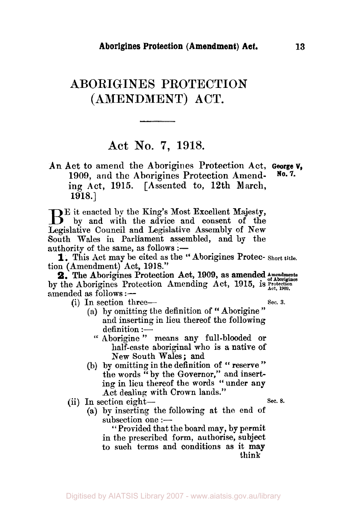## **ABORIGINES PROTECTION (AMENDMENT) ACT.**

## **Act No. 7,** 1918.

**An Act to amend the Aborigines Protection Act, George V, 1909,** and the **Aborigines Protection Amending Act, 1915. [Assented to, 12th March, 1918.] No. 7.** 

BE it enacted by the King's Most Excellent Majesty, by and with the advice and consent of the Legislative Council and Legislative Assembly of New South Wales in Parliament assembled, and by the authority of the same, as follows  $:$   $-$ 

tion (Amendment) Act, 1918." **1.** This Act may be cited as the " Aborigines Protec- **Short title.** 

by the Aborigines Protection Amending Act, 1915, is  $R_{\text{act, 1909}}^{3}$ amended as follows :-**2.** The Aborigines Protection Act, 1909, as amended *Amendments* **2.** The Aborigines Protection Act, 1909, as amended *Amendments* 

(i) In section three- *Sec.* **3.** 

- (a) by omitting the definition of "Aborigine" and inserting in lieu thereof the following  $definition :=$ 
	- Aborigine " means any full-blooded or half-caste aboriginal who is a native of New South Wales; and
- by omitting in the definition **of** " reserve " the words  $\mathbf{F}$  by the Governor," and inserting in lieu thereof the words " under any Act dealing with **Crown** lands."
- (ii) In section eight- $\qquad$  Sec. 8.
	- (a) bp inserting the following at the end of  $subsection$  one  $:$

"Provided that the board may, by permit in the prescribed form, authorise, subject to such terms and conditions as it **may**  think